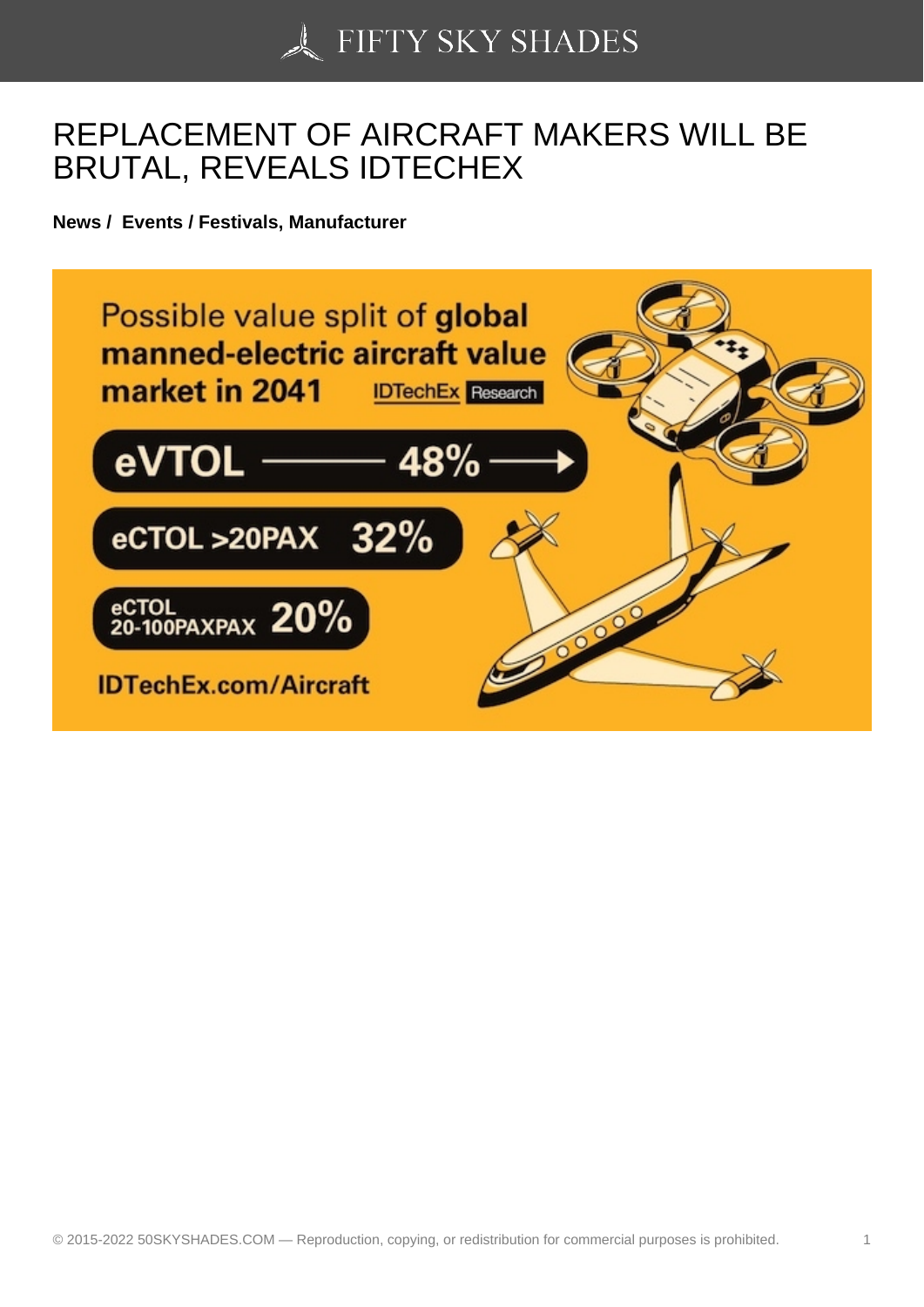## [REPLACEMENT OF A](https://50skyshades.com)IRCRAFT MAKERS WILL BE BRUTAL, REVEALS IDTECHEX

News / Events / Festivals, Manufacturer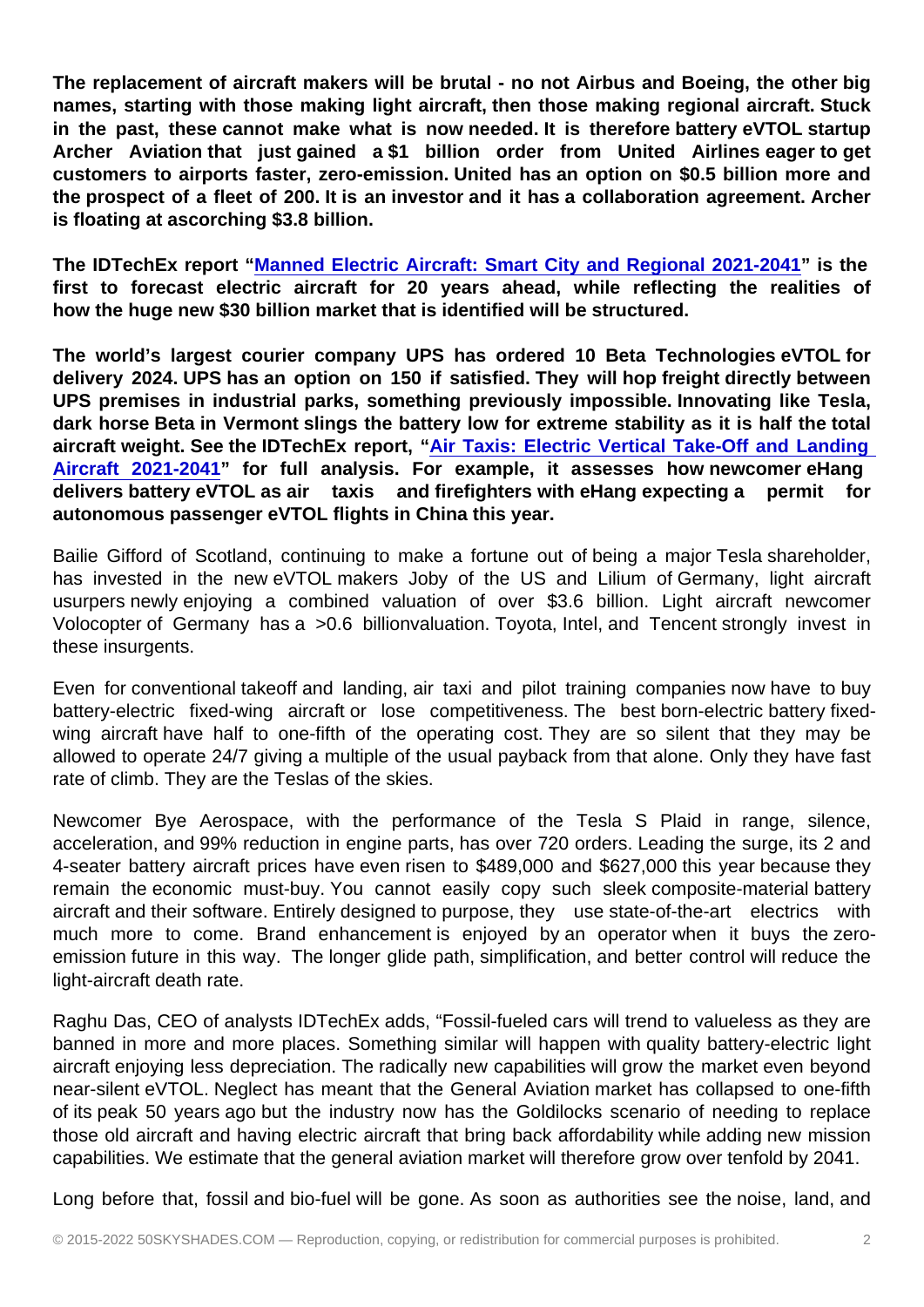The replacement of aircraft makers will be brutal - no not Airbus and Boeing, the other big names, starting with those making light aircraft, then those making regional aircraft. Stuck in the past, these cannot make what is now needed. It is therefore battery eVTOL startup Archer Aviation that just gained a \$1 billion order from United Airlines eager to get customers to airports faster, zero-emission. United has an option on \$0.5 billion more and the prospect of a fleet of 200. It is an investor and it has a collaboration agreement. Archer is floating at ascorching \$3.8 billion.

The IDTechEx report " Manned Electric Aircraft: Smart City and Regional 2021-2041 " is the first to forecast electric aircraft for 20 years ahead, while reflecting the realities of how the huge new \$30 billion market that is identified will be structured.

The world's largest co[urier company UPS has ordered 10 Beta Technologies eVTOL f](http://click.agilitypr.delivery/ls/click?upn=5OmgVrFXr10PW88sS2CuNMyYTCJ09q5JFx3-2FoinCpnIG-2FqAIeFHGWQFG5WjdWBKyty6tnINBje4DosvjhIAUBMlgICIcw3b2OiMwz1P6RUXceX4e3q3s2XBaOIM2lA9Y-2FoPQjL-2Fy-2BGytpd1ehIDiXYSrUqG8sqDWZJlSDDJOx4A-3DmHCk_wVU3sWPqD-2BJ862OfyV2Ojj-2FPtQPiz-2F4sNV3lh5c9p1t6hiDIHqknylhmn8KTAODQuY8UkIhDtKbPt6b-2BJYaxhVXaWsgEdgC0GgKXfaCVYZU2g5En3-2BCZ8vTgviH1N5X4lgl6l3ywnzPuoQOkHmAXKnuh9W0Lu30dbXaYsxty5XkCVQS4ANMsY0Q1IDQeKs8DHoovqMrZ9qZWaqH27dWgpEXm-2BETOlEUugKD2yxQdxQWiBm9jh3-2BScFRdgd89i3SOJ20-2BN72qlMQLxpj3g1Tjcj3Aiqb1QrqkqOGUW97fG-2BMm-2Brq7wKKknzlkOeEwXkEPHPYjznt4TAxpzVzeFJ-2FXWm0K49d7SlI4uJhIHfbts1HaWkZVHY9Q-2FXTCh9Ucgg-2B-2BtKsyjVxrBg5BA4mQ7CxTPg-3D-3D)or delivery 2024. UPS has an option on 150 if satisfied. They will hop freight directly between UPS premises in industrial parks, something previously impossible. Innovating like Tesla, dark horse Beta in Vermont slings the battery low for extreme stability as it is half the total aircraft weight. See the IDTechEx report, " Air Taxis: Electric Vertical Take-Off and Landing Aircraft 2021-2041 " for full analysis. For example, it assesses how newcomer eHang delivers battery eVTOL as air taxis and firefighters with eHang expecting a permit for autonomous passenger eVTOL flights in Chin[a this year.](http://click.agilitypr.delivery/ls/click?upn=5OmgVrFXr10PW88sS2CuNMyYTCJ09q5JFx3-2FoinCpnIG-2FqAIeFHGWQFG5WjdWBKyOHNKvjStCarJMMdQhB2wn0O9PNzTOuxaX5iJuPiDpJlCpiDyas1ACwrX9ow-2B49C8qF9y-2FHBVjeffcYii8KbIYqpKbAD9sDkjpzBOB5hRKp4-3D_2M1_wVU3sWPqD-2BJ862OfyV2Ojj-2FPtQPiz-2F4sNV3lh5c9p1t6hiDIHqknylhmn8KTAODQuY8UkIhDtKbPt6b-2BJYaxhVXaWsgEdgC0GgKXfaCVYZU2g5En3-2BCZ8vTgviH1N5X4lgl6l3ywnzPuoQOkHmAXKnuh9W0Lu30dbXaYsxty5XkCVQS4ANMsY0Q1IDQeKs8DHoovqMrZ9qZWaqH27dWgpEXm-2BETOlEUugKD2yxQdxQXOQGWsGjEMKi2fiIukXuye4M3sbZrw02FgggcbI-2FwJAM9-2FgiTalvUFKGNPlR8v49S7H9-2F-2BtTyl4rOTqre-2ByoW5GrCk1mxg35qf8-2BlDCmJWh6x4Xc1dZ-2BQH4xSnaFNCh5zvcSy0rGqMocjVcUK5hRPRVNXULUPQ4kO1oiK5PPS-2BoQ-3D-3D) 

[Bailie Gifford of Sco](http://click.agilitypr.delivery/ls/click?upn=5OmgVrFXr10PW88sS2CuNMyYTCJ09q5JFx3-2FoinCpnIG-2FqAIeFHGWQFG5WjdWBKyOHNKvjStCarJMMdQhB2wn0O9PNzTOuxaX5iJuPiDpJlCpiDyas1ACwrX9ow-2B49C8qF9y-2FHBVjeffcYii8KbIYqpKbAD9sDkjpzBOB5hRKp4-3D_2M1_wVU3sWPqD-2BJ862OfyV2Ojj-2FPtQPiz-2F4sNV3lh5c9p1t6hiDIHqknylhmn8KTAODQuY8UkIhDtKbPt6b-2BJYaxhVXaWsgEdgC0GgKXfaCVYZU2g5En3-2BCZ8vTgviH1N5X4lgl6l3ywnzPuoQOkHmAXKnuh9W0Lu30dbXaYsxty5XkCVQS4ANMsY0Q1IDQeKs8DHoovqMrZ9qZWaqH27dWgpEXm-2BETOlEUugKD2yxQdxQXOQGWsGjEMKi2fiIukXuye4M3sbZrw02FgggcbI-2FwJAM9-2FgiTalvUFKGNPlR8v49S7H9-2F-2BtTyl4rOTqre-2ByoW5GrCk1mxg35qf8-2BlDCmJWh6x4Xc1dZ-2BQH4xSnaFNCh5zvcSy0rGqMocjVcUK5hRPRVNXULUPQ4kO1oiK5PPS-2BoQ-3D-3D)tland, continuing to make a fortune out of being a major Tesla shareholder, has invested in the new eVTOL makers Joby of the US and Lilium of Germany, light aircraft usurpers newly enjoying a combined valuation of over \$3.6 billion. Light aircraft newcomer Volocopter of Germany has a >0.6 billionvaluation. Toyota, Intel, and Tencent strongly invest in these insurgents.

Even for conventional takeoff and landing, air taxi and pilot training companies now have to buy battery-electric fixed-wing aircraft or lose competitiveness. The best born-electric battery fixedwing aircraft have half to one-fifth of the operating cost. They are so silent that they may be allowed to operate 24/7 giving a multiple of the usual payback from that alone. Only they have fast rate of climb. They are the Teslas of the skies.

Newcomer Bye Aerospace, with the performance of the Tesla S Plaid in range, silence, acceleration, and 99% reduction in engine parts, has over 720 orders. Leading the surge, its 2 and 4-seater battery aircraft prices have even risen to \$489,000 and \$627,000 this year because they remain the economic must-buy. You cannot easily copy such sleek composite-material battery aircraft and their software. Entirely designed to purpose, they use state-of-the-art electrics with much more to come. Brand enhancement is enjoyed by an operator when it buys the zeroemission future in this way. The longer glide path, simplification, and better control will reduce the light-aircraft death rate.

Raghu Das, CEO of analysts IDTechEx adds, "Fossil-fueled cars will trend to valueless as they are banned in more and more places. Something similar will happen with quality battery-electric light aircraft enjoying less depreciation. The radically new capabilities will grow the market even beyond near-silent eVTOL. Neglect has meant that the General Aviation market has collapsed to one-fifth of its peak 50 years ago but the industry now has the Goldilocks scenario of needing to replace those old aircraft and having electric aircraft that bring back affordability while adding new mission capabilities. We estimate that the general aviation market will therefore grow over tenfold by 2041.

Long before that, fossil and bio-fuel will be gone. As soon as authorities see the noise, land, and